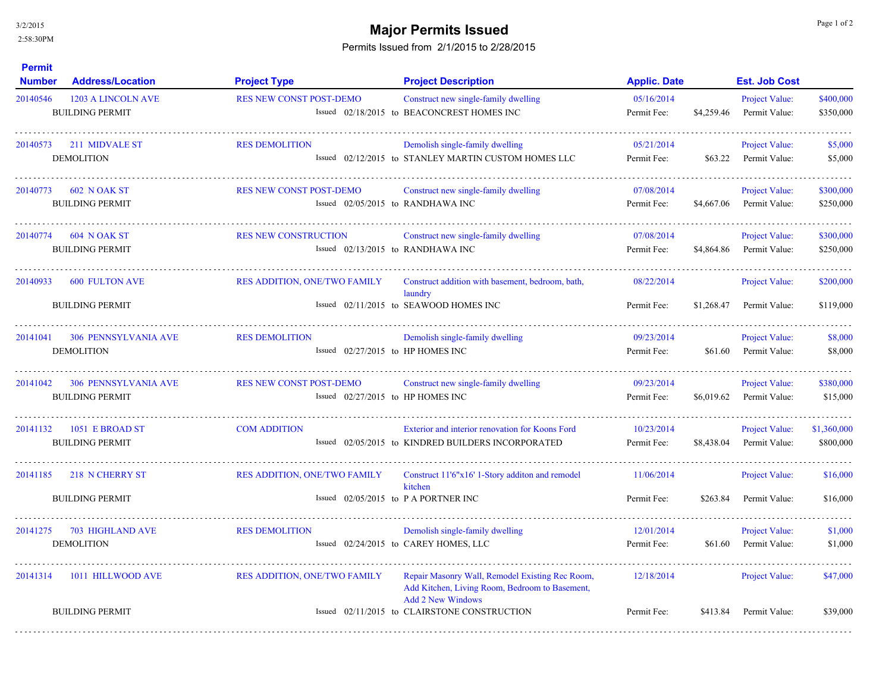3/2/2015

## 2:58:30PM

## **Major Permits Issued Major Permits Issued**

## Permits Issued from 2/1/2015 to 2/28/2015

| <b>Address/Location</b><br><b>Number</b>              | <b>Project Type</b>                 | <b>Project Description</b>                                                                                                    | <b>Applic. Date</b>                                                                                                                                                                                                                                                                                                                                                                                                                                                                           |            | <b>Est. Job Cost</b>                   |                          |
|-------------------------------------------------------|-------------------------------------|-------------------------------------------------------------------------------------------------------------------------------|-----------------------------------------------------------------------------------------------------------------------------------------------------------------------------------------------------------------------------------------------------------------------------------------------------------------------------------------------------------------------------------------------------------------------------------------------------------------------------------------------|------------|----------------------------------------|--------------------------|
| <b>1203 A LINCOLN AVE</b><br><b>BUILDING PERMIT</b>   | <b>RES NEW CONST POST-DEMO</b>      | Construct new single-family dwelling                                                                                          | 05/16/2014<br>Permit Fee:                                                                                                                                                                                                                                                                                                                                                                                                                                                                     | \$4,259.46 | Project Value:<br>Permit Value:        | \$400,000<br>\$350,000   |
| 211 MIDVALE ST<br><b>DEMOLITION</b>                   | <b>RES DEMOLITION</b>               | Demolish single-family dwelling                                                                                               | 05/21/2014<br>Permit Fee:                                                                                                                                                                                                                                                                                                                                                                                                                                                                     | \$63.22    | Project Value:<br>Permit Value:        | \$5,000<br>\$5,000       |
| 20140773 602 N OAK ST<br><b>BUILDING PERMIT</b>       | <b>RES NEW CONST POST-DEMO</b>      | Construct new single-family dwelling                                                                                          | 07/08/2014<br>Permit Fee:                                                                                                                                                                                                                                                                                                                                                                                                                                                                     | \$4,667,06 | Project Value:<br>Permit Value:        | \$300,000<br>\$250,000   |
| 20140774<br>604 N OAK ST<br><b>BUILDING PERMIT</b>    | <b>RES NEW CONSTRUCTION</b>         | Construct new single-family dwelling                                                                                          | 07/08/2014<br>Permit Fee:                                                                                                                                                                                                                                                                                                                                                                                                                                                                     | \$4,864.86 | <b>Project Value:</b><br>Permit Value: | \$300,000<br>\$250,000   |
| <b>600 FULTON AVE</b><br><b>BUILDING PERMIT</b>       | <b>RES ADDITION, ONE/TWO FAMILY</b> | Construct addition with basement, bedroom, bath,<br>laundry                                                                   | 08/22/2014<br>Permit Fee:                                                                                                                                                                                                                                                                                                                                                                                                                                                                     | \$1,268.47 | <b>Project Value:</b><br>Permit Value: | \$200,000<br>\$119,000   |
| <b>306 PENNSYLVANIA AVE</b><br><b>DEMOLITION</b>      | <b>RES DEMOLITION</b>               | Demolish single-family dwelling                                                                                               | 09/23/2014<br>Permit Fee:                                                                                                                                                                                                                                                                                                                                                                                                                                                                     | \$61.60    | Project Value:<br>Permit Value:        | \$8,000<br>\$8,000       |
| <b>306 PENNSYLVANIA AVE</b><br><b>BUILDING PERMIT</b> | <b>RES NEW CONST POST-DEMO</b>      | Construct new single-family dwelling                                                                                          | 09/23/2014<br>Permit Fee:                                                                                                                                                                                                                                                                                                                                                                                                                                                                     | \$6,019.62 | Project Value:<br>Permit Value:        | \$380,000<br>\$15,000    |
| 1051 E BROAD ST<br><b>BUILDING PERMIT</b>             | <b>COM ADDITION</b>                 | Exterior and interior renovation for Koons Ford                                                                               | 10/23/2014<br>Permit Fee:                                                                                                                                                                                                                                                                                                                                                                                                                                                                     | \$8,438.04 | Project Value:<br>Permit Value:        | \$1,360,000<br>\$800,000 |
| 218 N CHERRY ST<br><b>BUILDING PERMIT</b>             | <b>RES ADDITION, ONE/TWO FAMILY</b> | Construct 11'6"x16' 1-Story addition and remodel<br>kitchen                                                                   | 11/06/2014<br>Permit Fee:                                                                                                                                                                                                                                                                                                                                                                                                                                                                     | \$263.84   | Project Value:<br>Permit Value:        | \$16,000<br>\$16,000     |
| 703 HIGHLAND AVE<br><b>DEMOLITION</b>                 | <b>RES DEMOLITION</b>               | Demolish single-family dwelling                                                                                               | 12/01/2014<br>Permit Fee:                                                                                                                                                                                                                                                                                                                                                                                                                                                                     | \$61.60    | Project Value:<br>Permit Value:        | \$1,000<br>\$1,000       |
| 1011 HILLWOOD AVE<br><b>BUILDING PERMIT</b>           | <b>RES ADDITION, ONE/TWO FAMILY</b> | Repair Masonry Wall, Remodel Existing Rec Room,<br>Add Kitchen, Living Room, Bedroom to Basement,<br><b>Add 2 New Windows</b> | 12/18/2014<br>Permit Fee:                                                                                                                                                                                                                                                                                                                                                                                                                                                                     | \$413.84   | Project Value:<br>Permit Value:        | \$47,000<br>\$39,000     |
|                                                       |                                     |                                                                                                                               | Issued 02/18/2015 to BEACONCREST HOMES INC<br>Issued 02/12/2015 to STANLEY MARTIN CUSTOM HOMES LLC<br>Issued 02/05/2015 to RANDHAWA INC<br>Issued 02/13/2015 to RANDHAWA INC<br>Issued 02/11/2015 to SEAWOOD HOMES INC<br>Issued $02/27/2015$ to HP HOMES INC<br>Issued $02/27/2015$ to HP HOMES INC<br>Issued 02/05/2015 to KINDRED BUILDERS INCORPORATED<br>Issued $02/05/2015$ to P A PORTNER INC<br>Issued 02/24/2015 to CAREY HOMES, LLC<br>Issued 02/11/2015 to CLAIRSTONE CONSTRUCTION |            |                                        |                          |